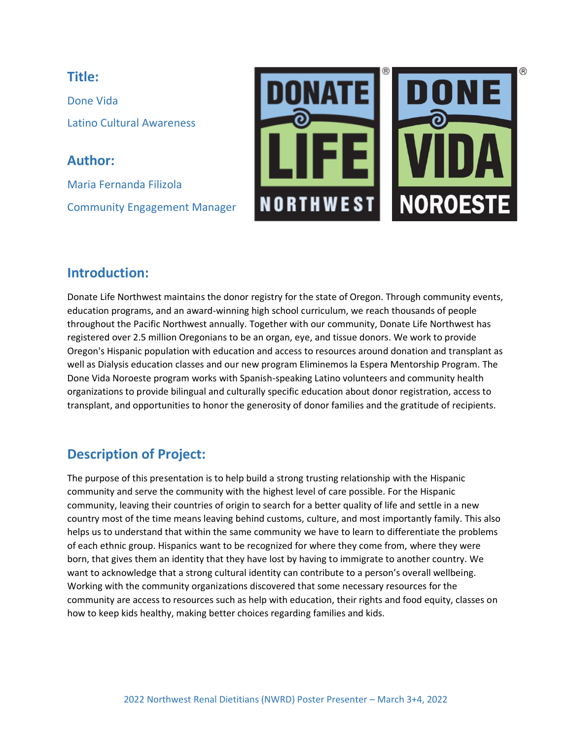#### **Title:**

Done Vida Latino Cultural Awareness

**Author:** Maria Fernanda Filizola Community Engagement Manager



## **Introduction:**

Donate Life Northwest maintains the donor registry for the state of Oregon. Through community events, education programs, and an award-winning high school curriculum, we reach thousands of people throughout the Pacific Northwest annually. Together with our community, Donate Life Northwest has registered over 2.5 million Oregonians to be an organ, eye, and tissue donors. We work to provide Oregon's Hispanic population with education and access to resources around donation and transplant as well as Dialysis education classes and our new program Eliminemos la Espera Mentorship Program. The Done Vida Noroeste program works with Spanish-speaking Latino volunteers and community health organizations to provide bilingual and culturally specific education about donor registration, access to transplant, and opportunities to honor the generosity of donor families and the gratitude of recipients.

# **Description of Project:**

The purpose of this presentation is to help build a strong trusting relationship with the Hispanic community and serve the community with the highest level of care possible. For the Hispanic community, leaving their countries of origin to search for a better quality of life and settle in a new country most of the time means leaving behind customs, culture, and most importantly family. This also helps us to understand that within the same community we have to learn to differentiate the problems of each ethnic group. Hispanics want to be recognized for where they come from, where they were born, that gives them an identity that they have lost by having to immigrate to another country. We want to acknowledge that a strong cultural identity can contribute to a person's overall wellbeing. Working with the community organizations discovered that some necessary resources for the community are access to resources such as help with education, their rights and food equity, classes on how to keep kids healthy, making better choices regarding families and kids.